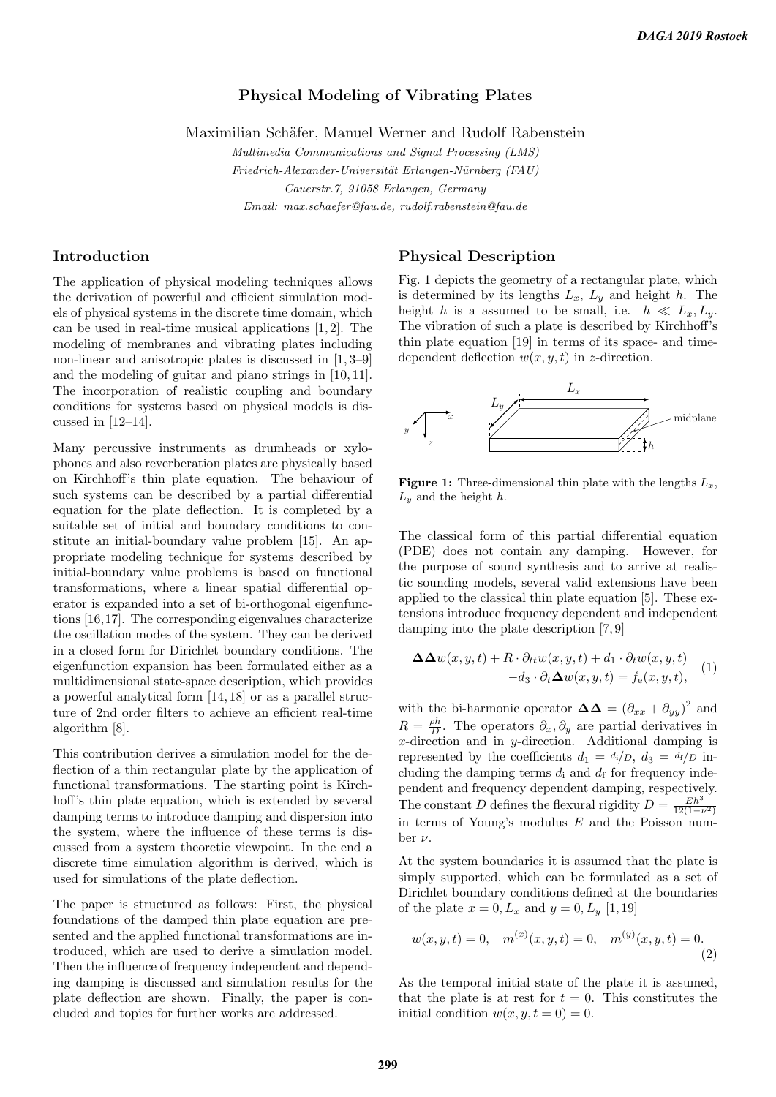## Physical Modeling of Vibrating Plates

Maximilian Schäfer, Manuel Werner and Rudolf Rabenstein

Multimedia Communications and Signal Processing (LMS) Friedrich-Alexander-Universität Erlangen-Nürnberg (FAU) Cauerstr.7, 91058 Erlangen, Germany Email: max.schaefer@fau.de, rudolf.rabenstein@fau.de

# Introduction

The application of physical modeling techniques allows the derivation of powerful and efficient simulation models of physical systems in the discrete time domain, which can be used in real-time musical applications [1, 2]. The modeling of membranes and vibrating plates including non-linear and anisotropic plates is discussed in [1, 3–9] and the modeling of guitar and piano strings in [10, 11]. The incorporation of realistic coupling and boundary conditions for systems based on physical models is discussed in [12–14].

Many percussive instruments as drumheads or xylophones and also reverberation plates are physically based on Kirchhoff's thin plate equation. The behaviour of such systems can be described by a partial differential equation for the plate deflection. It is completed by a suitable set of initial and boundary conditions to constitute an initial-boundary value problem [15]. An appropriate modeling technique for systems described by initial-boundary value problems is based on functional transformations, where a linear spatial differential operator is expanded into a set of bi-orthogonal eigenfunctions [16,17]. The corresponding eigenvalues characterize the oscillation modes of the system. They can be derived in a closed form for Dirichlet boundary conditions. The eigenfunction expansion has been formulated either as a multidimensional state-space description, which provides a powerful analytical form [14, 18] or as a parallel structure of 2nd order filters to achieve an efficient real-time algorithm [8].

This contribution derives a simulation model for the deflection of a thin rectangular plate by the application of functional transformations. The starting point is Kirchhoff's thin plate equation, which is extended by several damping terms to introduce damping and dispersion into the system, where the influence of these terms is discussed from a system theoretic viewpoint. In the end a discrete time simulation algorithm is derived, which is used for simulations of the plate deflection.

The paper is structured as follows: First, the physical foundations of the damped thin plate equation are presented and the applied functional transformations are introduced, which are used to derive a simulation model. Then the influence of frequency independent and depending damping is discussed and simulation results for the plate deflection are shown. Finally, the paper is concluded and topics for further works are addressed.

### Physical Description

Fig. 1 depicts the geometry of a rectangular plate, which is determined by its lengths  $L_x$ ,  $L_y$  and height h. The height h is a assumed to be small, i.e.  $h \ll L_x, L_y$ . The vibration of such a plate is described by Kirchhoff's thin plate equation [19] in terms of its space- and timedependent deflection  $w(x, y, t)$  in z-direction.



**Figure 1:** Three-dimensional thin plate with the lengths  $L_x$ ,  $L_y$  and the height h.

The classical form of this partial differential equation (PDE) does not contain any damping. However, for the purpose of sound synthesis and to arrive at realistic sounding models, several valid extensions have been applied to the classical thin plate equation [5]. These extensions introduce frequency dependent and independent damping into the plate description [7, 9]

$$
\Delta\Delta w(x, y, t) + R \cdot \partial_{tt} w(x, y, t) + d_1 \cdot \partial_t w(x, y, t) -d_3 \cdot \partial_t \Delta w(x, y, t) = f_e(x, y, t),
$$
 (1)

with the bi-harmonic operator  $\Delta\Delta = (\partial_{xx} + \partial_{yy})^2$  and  $R = \frac{\rho h}{D}$ . The operators  $\partial_x, \partial_y$  are partial derivatives in x-direction and in y-direction. Additional damping is represented by the coefficients  $d_1 = d_i/D$ ,  $d_3 = d_f/D$  including the damping terms  $d_i$  and  $d_f$  for frequency independent and frequency dependent damping, respectively. The constant D defines the flexural rigidity  $D = \frac{Eh^3}{12(1 - i)}$  $\overline{12(1-\nu^2)}$ in terms of Young's modulus  $E$  and the Poisson number  $\nu$ .

At the system boundaries it is assumed that the plate is simply supported, which can be formulated as a set of Dirichlet boundary conditions defined at the boundaries of the plate  $x = 0, L_x$  and  $y = 0, L_y$  [1,19]

$$
w(x, y, t) = 0, \quad m^{(x)}(x, y, t) = 0, \quad m^{(y)}(x, y, t) = 0.
$$
\n(2)

As the temporal initial state of the plate it is assumed, that the plate is at rest for  $t = 0$ . This constitutes the initial condition  $w(x, y, t = 0) = 0$ .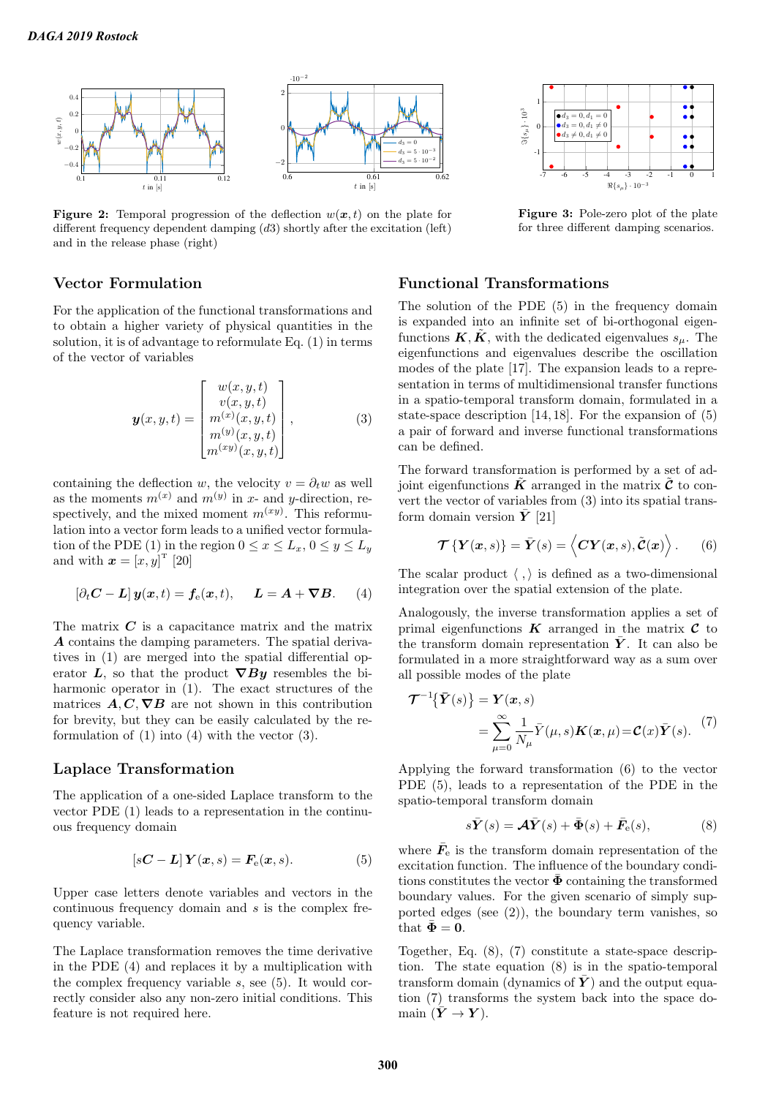

**Figure 2:** Temporal progression of the deflection  $w(x, t)$  on the plate for different frequency dependent damping  $(d3)$  shortly after the excitation (left) and in the release phase (right)

# Vector Formulation

For the application of the functional transformations and to obtain a higher variety of physical quantities in the solution, it is of advantage to reformulate Eq. (1) in terms of the vector of variables

$$
\mathbf{y}(x,y,t) = \begin{bmatrix} w(x,y,t) \\ v(x,y,t) \\ m^{(x)}(x,y,t) \\ m^{(y)}(x,y,t) \\ m^{(xy)}(x,y,t) \end{bmatrix},
$$
(3)

containing the deflection w, the velocity  $v = \partial_t w$  as well as the moments  $m^{(x)}$  and  $m^{(y)}$  in x- and y-direction, respectively, and the mixed moment  $m^{(xy)}$ . This reformulation into a vector form leads to a unified vector formulation of the PDE (1) in the region  $0 \le x \le L_x$ ,  $0 \le y \le L_y$ and with  $\boldsymbol{x} = [x, y]^{\mathrm{T}}$  [20]

$$
\left[\partial_t \mathbf{C} - \mathbf{L}\right] \mathbf{y}(\mathbf{x}, t) = \mathbf{f}_{e}(\mathbf{x}, t), \quad \mathbf{L} = \mathbf{A} + \boldsymbol{\nabla} \mathbf{B}.
$$
 (4)

The matrix  $C$  is a capacitance matrix and the matrix A contains the damping parameters. The spatial derivatives in (1) are merged into the spatial differential operator L, so that the product  $\nabla By$  resembles the biharmonic operator in (1). The exact structures of the matrices  $A, C, \nabla B$  are not shown in this contribution for brevity, but they can be easily calculated by the reformulation of (1) into (4) with the vector (3).

#### Laplace Transformation

The application of a one-sided Laplace transform to the vector PDE (1) leads to a representation in the continuous frequency domain

$$
[s\mathbf{C} - \mathbf{L}] \mathbf{Y}(x,s) = \mathbf{F}_e(x,s). \tag{5}
$$

Upper case letters denote variables and vectors in the continuous frequency domain and s is the complex frequency variable.

The Laplace transformation removes the time derivative in the PDE (4) and replaces it by a multiplication with the complex frequency variable  $s$ , see  $(5)$ . It would correctly consider also any non-zero initial conditions. This feature is not required here.



Figure 3: Pole-zero plot of the plate for three different damping scenarios.

# Functional Transformations

The solution of the PDE (5) in the frequency domain is expanded into an infinite set of bi-orthogonal eigenfunctions  $\tilde{K}, \tilde{K}$ , with the dedicated eigenvalues  $s_u$ . The eigenfunctions and eigenvalues describe the oscillation modes of the plate [17]. The expansion leads to a representation in terms of multidimensional transfer functions in a spatio-temporal transform domain, formulated in a state-space description [14, 18]. For the expansion of (5) a pair of forward and inverse functional transformations can be defined.

The forward transformation is performed by a set of adjoint eigenfunctions  $\tilde{K}$  arranged in the matrix  $\tilde{\mathcal{C}}$  to convert the vector of variables from (3) into its spatial transform domain version  $\bar{Y}$  [21]

$$
\mathcal{T}\left\{Y(x,s)\right\} = \bar{Y}(s) = \langle CY(x,s), \tilde{\mathcal{C}}(x) \rangle. \tag{6}
$$

The scalar product  $\langle , \rangle$  is defined as a two-dimensional integration over the spatial extension of the plate.

Analogously, the inverse transformation applies a set of primal eigenfunctions  $\boldsymbol{K}$  arranged in the matrix  $\boldsymbol{C}$  to the transform domain representation  $\overline{Y}$ . It can also be formulated in a more straightforward way as a sum over all possible modes of the plate

$$
\mathcal{T}^{-1}\{\bar{\mathbf{Y}}(s)\} = \mathbf{Y}(x,s)
$$
  
= 
$$
\sum_{\mu=0}^{\infty} \frac{1}{N_{\mu}} \bar{Y}(\mu, s) \mathbf{K}(x, \mu) = \mathbf{C}(x) \bar{\mathbf{Y}}(s).
$$
 (7)

Applying the forward transformation (6) to the vector PDE (5), leads to a representation of the PDE in the spatio-temporal transform domain

$$
s\bar{\mathbf{Y}}(s) = \mathbf{A}\bar{\mathbf{Y}}(s) + \bar{\mathbf{\Phi}}(s) + \bar{\mathbf{F}}_{\mathrm{e}}(s),
$$
 (8)

where  $\bar{F}_{e}$  is the transform domain representation of the excitation function. The influence of the boundary conditions constitutes the vector  $\bar{\mathbf{\Phi}}$  containing the transformed boundary values. For the given scenario of simply supported edges (see  $(2)$ ), the boundary term vanishes, so that  $\bar{\Phi} = 0$ .

Together, Eq. (8), (7) constitute a state-space description. The state equation (8) is in the spatio-temporal transform domain (dynamics of  $\bar{Y}$ ) and the output equation (7) transforms the system back into the space domain  $(\bar{Y} \to Y)$ .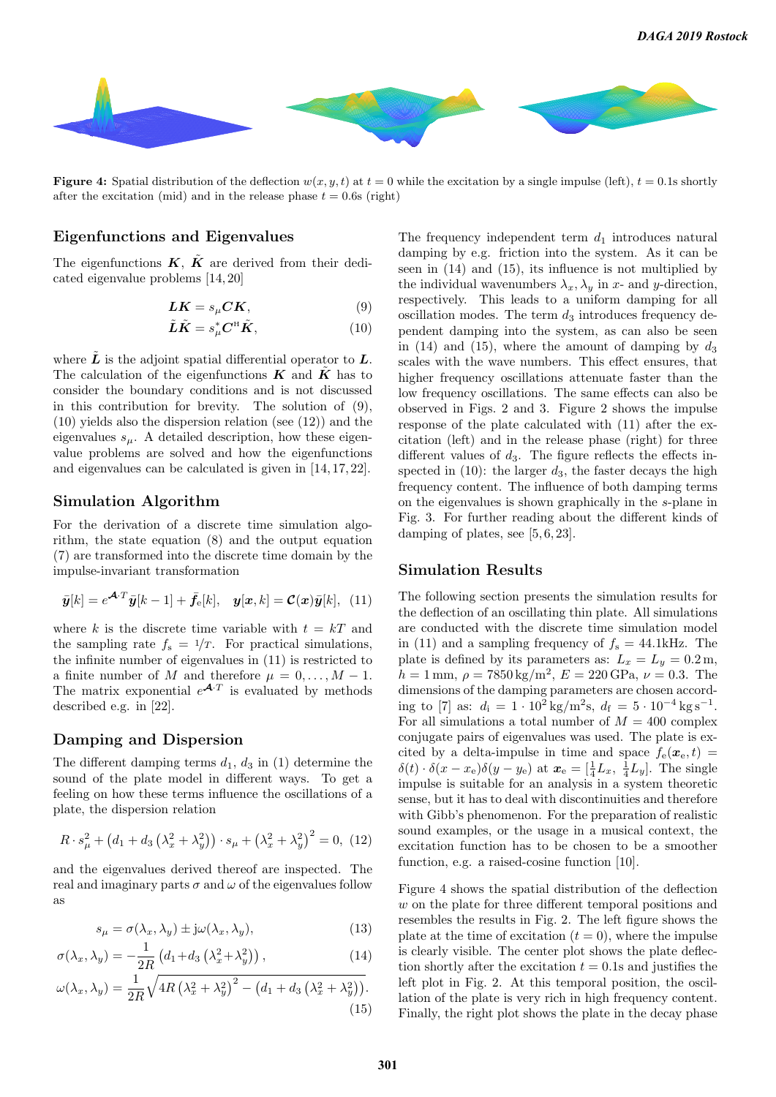

**Figure 4:** Spatial distribution of the deflection  $w(x, y, t)$  at  $t = 0$  while the excitation by a single impulse (left),  $t = 0.1$ s shortly after the excitation (mid) and in the release phase  $t = 0.6$ s (right)

## Eigenfunctions and Eigenvalues

The eigenfunctions  $\vec{K}$ ,  $\tilde{K}$  are derived from their dedicated eigenvalue problems [14, 20]

$$
LK = s_{\mu}CK, \tag{9}
$$

$$
\tilde{L}\tilde{K} = s_{\mu}^{*} C^{H} \tilde{K}, \qquad (10)
$$

where  $\tilde{L}$  is the adjoint spatial differential operator to  $L$ . The calculation of the eigenfunctions  $K$  and  $K$  has to consider the boundary conditions and is not discussed in this contribution for brevity. The solution of (9), (10) yields also the dispersion relation (see (12)) and the eigenvalues  $s_{\mu}$ . A detailed description, how these eigenvalue problems are solved and how the eigenfunctions and eigenvalues can be calculated is given in [14, 17, 22].

#### Simulation Algorithm

For the derivation of a discrete time simulation algorithm, the state equation (8) and the output equation (7) are transformed into the discrete time domain by the impulse-invariant transformation

$$
\bar{\boldsymbol{y}}[k] = e^{\mathbf{A} \cdot T} \bar{\boldsymbol{y}}[k-1] + \bar{f}_e[k], \quad \boldsymbol{y}[\boldsymbol{x}, k] = \mathcal{C}(\boldsymbol{x})\bar{\boldsymbol{y}}[k], \tag{11}
$$

where k is the discrete time variable with  $t = kT$  and the sampling rate  $f_s = \frac{1}{T}$ . For practical simulations, the infinite number of eigenvalues in (11) is restricted to a finite number of M and therefore  $\mu = 0, \ldots, M - 1$ . The matrix exponential  $e^{\mathbf{A}\cdot T}$  is evaluated by methods described e.g. in [22].

#### Damping and Dispersion

The different damping terms  $d_1$ ,  $d_3$  in (1) determine the sound of the plate model in different ways. To get a feeling on how these terms influence the oscillations of a plate, the dispersion relation

$$
R \cdot s_{\mu}^{2} + (d_{1} + d_{3} (\lambda_{x}^{2} + \lambda_{y}^{2})) \cdot s_{\mu} + (\lambda_{x}^{2} + \lambda_{y}^{2})^{2} = 0, (12)
$$

and the eigenvalues derived thereof are inspected. The real and imaginary parts  $\sigma$  and  $\omega$  of the eigenvalues follow as

$$
s_{\mu} = \sigma(\lambda_x, \lambda_y) \pm j\omega(\lambda_x, \lambda_y), \tag{13}
$$

$$
\sigma(\lambda_x, \lambda_y) = -\frac{1}{2R} \left( d_1 + d_3 \left( \lambda_x^2 + \lambda_y^2 \right) \right),\tag{14}
$$

$$
\omega(\lambda_x, \lambda_y) = \frac{1}{2R} \sqrt{4R \left(\lambda_x^2 + \lambda_y^2\right)^2 - \left(d_1 + d_3 \left(\lambda_x^2 + \lambda_y^2\right)\right)}.
$$
\n(15)

The frequency independent term  $d_1$  introduces natural damping by e.g. friction into the system. As it can be seen in (14) and (15), its influence is not multiplied by the individual wavenumbers  $\lambda_x, \lambda_y$  in x- and y-direction, respectively. This leads to a uniform damping for all oscillation modes. The term  $d_3$  introduces frequency dependent damping into the system, as can also be seen in (14) and (15), where the amount of damping by  $d_3$ scales with the wave numbers. This effect ensures, that higher frequency oscillations attenuate faster than the low frequency oscillations. The same effects can also be observed in Figs. 2 and 3. Figure 2 shows the impulse response of the plate calculated with (11) after the excitation (left) and in the release phase (right) for three different values of  $d_3$ . The figure reflects the effects inspected in  $(10)$ : the larger  $d_3$ , the faster decays the high frequency content. The influence of both damping terms on the eigenvalues is shown graphically in the s-plane in Fig. 3. For further reading about the different kinds of damping of plates, see [5, 6, 23].

## Simulation Results

The following section presents the simulation results for the deflection of an oscillating thin plate. All simulations are conducted with the discrete time simulation model in (11) and a sampling frequency of  $f_s = 44.1 \text{kHz}$ . The plate is defined by its parameters as:  $L_x = L_y = 0.2$  m,  $h = 1$  mm,  $\rho = 7850 \,\mathrm{kg/m^2}$ ,  $E = 220 \,\mathrm{GPa}$ ,  $\nu = 0.3$ . The dimensions of the damping parameters are chosen according to [7] as:  $d_i = 1 \cdot 10^2 \text{ kg/m}^2 \text{s}, d_f = 5 \cdot 10^{-4} \text{ kg s}^{-1}.$ For all simulations a total number of  $M = 400$  complex conjugate pairs of eigenvalues was used. The plate is excited by a delta-impulse in time and space  $f_e(\mathbf{x}_e, t)$  $\delta(t) \cdot \delta(x - x_e) \delta(y - y_e)$  at  $\mathbf{x}_e = \begin{bmatrix} \frac{1}{4} L_x, \frac{1}{4} L_y \end{bmatrix}$ . The single impulse is suitable for an analysis in a system theoretic sense, but it has to deal with discontinuities and therefore with Gibb's phenomenon. For the preparation of realistic sound examples, or the usage in a musical context, the excitation function has to be chosen to be a smoother function, e.g. a raised-cosine function [10].

Figure 4 shows the spatial distribution of the deflection w on the plate for three different temporal positions and resembles the results in Fig. 2. The left figure shows the plate at the time of excitation  $(t = 0)$ , where the impulse is clearly visible. The center plot shows the plate deflection shortly after the excitation  $t = 0.1$ s and justifies the left plot in Fig. 2. At this temporal position, the oscillation of the plate is very rich in high frequency content. Finally, the right plot shows the plate in the decay phase